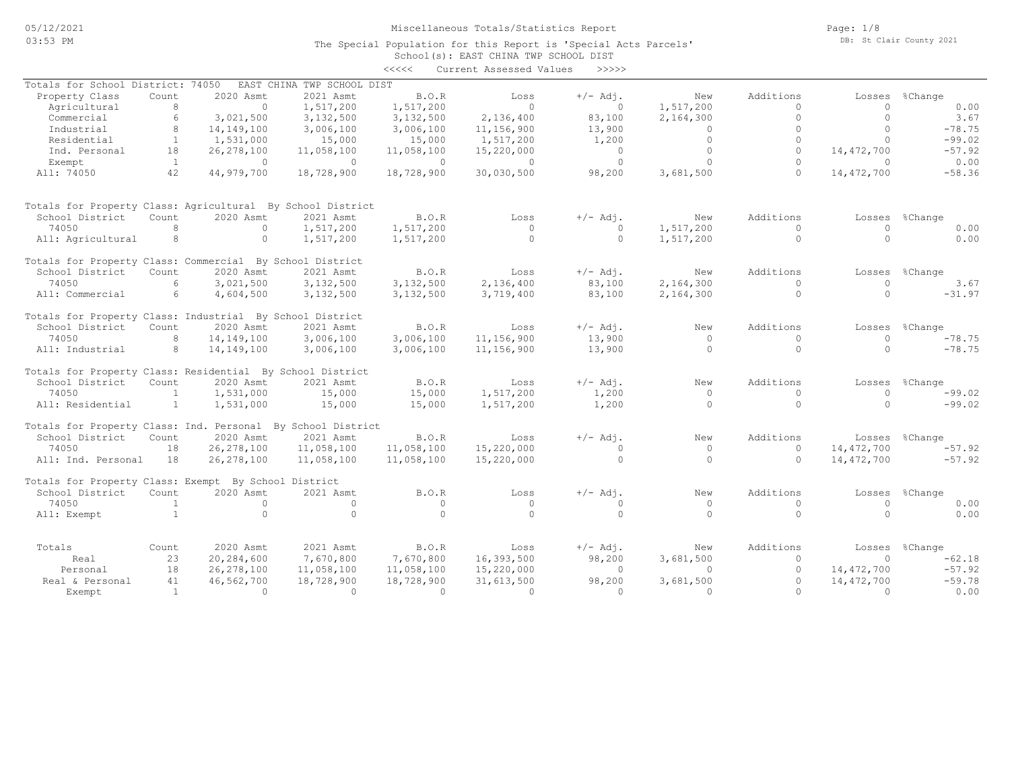The Special Population for this Report is 'Special Acts Parcels'

Page: 1/8 DB: St Clair County 2021

|                                                             |                |              |                            |            | School(s): EAST CHINA TWP SCHOOL DIST |            |           |              |              |          |
|-------------------------------------------------------------|----------------|--------------|----------------------------|------------|---------------------------------------|------------|-----------|--------------|--------------|----------|
|                                                             |                |              |                            | <<<<       | Current Assessed Values               | >>>>>      |           |              |              |          |
| Totals for School District: 74050                           |                |              | EAST CHINA TWP SCHOOL DIST |            |                                       |            |           |              |              |          |
| Property Class                                              | Count          | 2020 Asmt    | 2021 Asmt                  | B.O.R      | Loss                                  | $+/-$ Adj. | New       | Additions    | Losses       | %Change  |
| Agricultural                                                | 8              | $\Omega$     | 1,517,200                  | 1,517,200  | $\Omega$                              | $\Omega$   | 1,517,200 | $\Omega$     | $\Omega$     | 0.00     |
| Commercial                                                  | 6              | 3,021,500    | 3,132,500                  | 3,132,500  | 2,136,400                             | 83,100     | 2,164,300 | $\circ$      | $\circ$      | 3.67     |
| Industrial                                                  | 8              | 14,149,100   | 3,006,100                  | 3,006,100  | 11,156,900                            | 13,900     | $\circ$   | $\circ$      | $\Omega$     | $-78.75$ |
| Residential                                                 | $\mathbf{1}$   | 1,531,000    | 15,000                     | 15,000     | 1,517,200                             | 1,200      | $\circ$   | $\circ$      | $\Omega$     | $-99.02$ |
| Ind. Personal                                               | 18             | 26, 278, 100 | 11,058,100                 | 11,058,100 | 15,220,000                            | $\circ$    | $\Omega$  | $\Omega$     | 14,472,700   | $-57.92$ |
| Exempt                                                      | <sup>1</sup>   | $\circ$      | $\Omega$                   | $\circ$    | $\circ$                               | $\circ$    | $\Omega$  | $\Omega$     | $\Omega$     | 0.00     |
| All: 74050                                                  | 42             | 44,979,700   | 18,728,900                 | 18,728,900 |                                       |            | 3,681,500 | $\Omega$     | 14, 472, 700 | $-58.36$ |
|                                                             |                |              |                            |            | 30,030,500                            | 98,200     |           |              |              |          |
| Totals for Property Class: Agricultural By School District  |                |              |                            |            |                                       |            |           |              |              |          |
| School District                                             | Count          | 2020 Asmt    | 2021 Asmt                  | B.O.R      | Loss                                  | $+/-$ Adj. | New       | Additions    | Losses       | %Change  |
| 74050                                                       | 8              | $\circ$      | 1,517,200                  | 1,517,200  | $\circ$                               | $\Omega$   | 1,517,200 | $\Omega$     | $\Omega$     | 0.00     |
| All: Agricultural                                           | 8              | $\circ$      | 1,517,200                  | 1,517,200  | $\circ$                               | $\circ$    | 1,517,200 | $\circ$      | $\Omega$     | 0.00     |
|                                                             |                |              |                            |            |                                       |            |           |              |              |          |
| Totals for Property Class: Commercial By School District    |                |              |                            |            |                                       |            |           |              |              |          |
| School District                                             | Count          | 2020 Asmt    | 2021 Asmt                  | B.O.R      | Loss                                  | $+/-$ Adj. | New       | Additions    | Losses       | %Change  |
| 74050                                                       | 6              | 3,021,500    | 3,132,500                  | 3,132,500  | 2,136,400                             | 83,100     | 2,164,300 | $\mathbf{0}$ | $\Omega$     | 3.67     |
| All: Commercial                                             | 6              | 4,604,500    | 3,132,500                  | 3,132,500  | 3,719,400                             | 83,100     | 2,164,300 | $\circ$      | $\cap$       | $-31.97$ |
| Totals for Property Class: Industrial By School District    |                |              |                            |            |                                       |            |           |              |              |          |
| School District                                             | Count          | 2020 Asmt    | 2021 Asmt                  | B.O.R      | Loss                                  | $+/-$ Adj. | New       | Additions    | Losses       | %Change  |
| 74050                                                       | 8              | 14,149,100   | 3,006,100                  | 3,006,100  | 11,156,900                            | 13,900     | $\Omega$  | $\Omega$     | $\Omega$     | $-78.75$ |
| All: Industrial                                             | 8              | 14,149,100   | 3,006,100                  | 3,006,100  | 11,156,900                            | 13,900     | $\Omega$  | $\circ$      | $\Omega$     | $-78.75$ |
| Totals for Property Class: Residential By School District   |                |              |                            |            |                                       |            |           |              |              |          |
| School District                                             | Count.         | 2020 Asmt    | 2021 Asmt                  | B.O.R      | Loss                                  | $+/-$ Adj. | New       | Additions    | Losses       | %Change  |
| 74050                                                       | $\overline{1}$ | 1,531,000    | 15,000                     | 15,000     | 1,517,200                             | 1,200      | $\circ$   | $\Omega$     | $\Omega$     | $-99.02$ |
| All: Residential                                            | <sup>1</sup>   | 1,531,000    | 15,000                     | 15,000     | 1,517,200                             | 1,200      | $\Omega$  | $\Omega$     | $\cap$       | $-99.02$ |
|                                                             |                |              |                            |            |                                       |            |           |              |              |          |
| Totals for Property Class: Ind. Personal By School District |                |              |                            |            |                                       |            |           |              |              |          |
| School District                                             | Count          | 2020 Asmt    | 2021 Asmt                  | B.O.R      | Loss                                  | $+/-$ Adj. | New       | Additions    | Losses       | %Change  |
| 74050                                                       | 18             | 26, 278, 100 | 11,058,100                 | 11,058,100 | 15,220,000                            | $\cap$     | $\Omega$  | $\Omega$     | 14,472,700   | $-57.92$ |
| All: Ind. Personal                                          | 18             | 26, 278, 100 | 11,058,100                 | 11,058,100 | 15,220,000                            | $\circ$    | $\Omega$  | $\Omega$     | 14, 472, 700 | $-57.92$ |
| Totals for Property Class: Exempt By School District        |                |              |                            |            |                                       |            |           |              |              |          |
| School District                                             | Count          | 2020 Asmt    | 2021 Asmt                  | B.O.R      | Loss                                  | $+/-$ Adj. | New       | Additions    | Losses       | %Change  |
| 74050                                                       | $\overline{1}$ | $\Omega$     | $\Omega$                   | $\circ$    | $\circ$                               | $\circ$    | $\circ$   | $\Omega$     | $\Omega$     | 0.00     |
| All: Exempt                                                 | $\overline{1}$ | $\circ$      | $\Omega$                   | $\circ$    | $\Omega$                              | $\circ$    | $\Omega$  | $\circ$      | $\Omega$     | 0.00     |
|                                                             |                |              |                            |            |                                       |            |           |              |              |          |
| Totals                                                      | Count          | 2020 Asmt    | 2021 Asmt                  | B.O.R      | Loss                                  | $+/-$ Adj. | New       | Additions    | Losses       | %Change  |
| Real                                                        | 23             | 20,284,600   | 7,670,800                  | 7,670,800  | 16,393,500                            | 98,200     | 3,681,500 | $\circ$      | $\Omega$     | $-62.18$ |
| Personal                                                    | 18             | 26, 278, 100 | 11,058,100                 | 11,058,100 | 15,220,000                            | $\circ$    | $\circ$   | $\circ$      | 14,472,700   | $-57.92$ |
| Real & Personal                                             | 41             | 46,562,700   | 18,728,900                 | 18,728,900 | 31,613,500                            | 98,200     | 3,681,500 | $\circ$      | 14,472,700   | $-59.78$ |
| Exempt                                                      | $\overline{1}$ | $\Omega$     | $\Omega$                   | $\Omega$   | $\Omega$                              | $\Omega$   | $\Omega$  | $\Omega$     | $\Omega$     | 0.00     |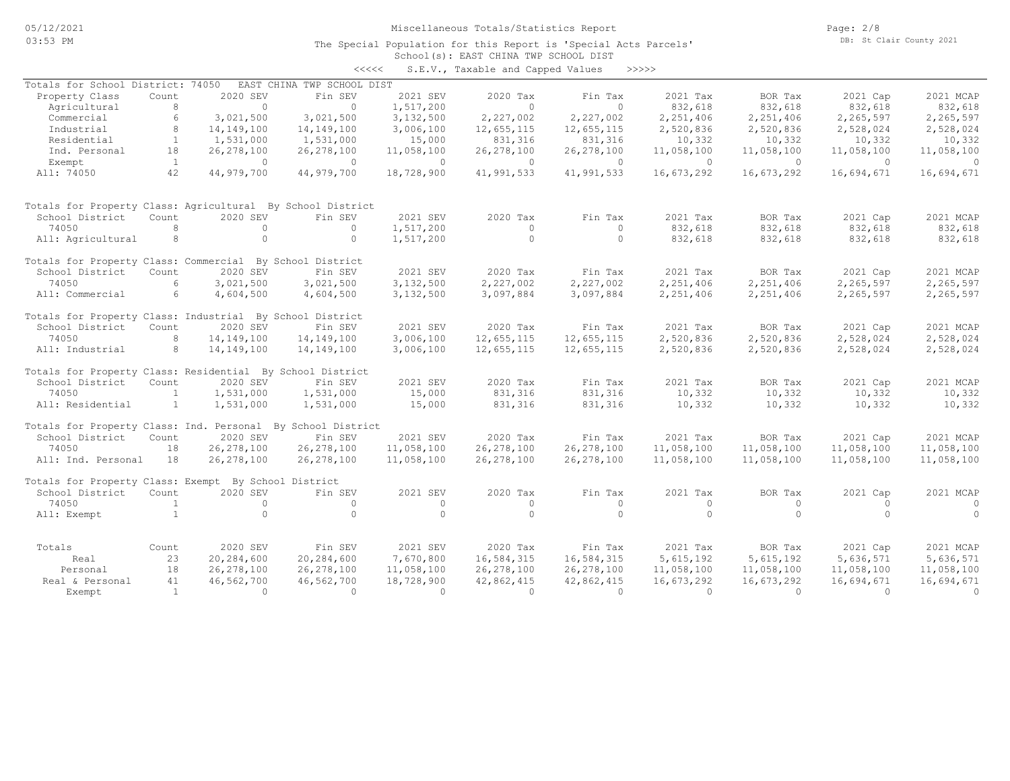Page: 2/8 DB: St Clair County 2021

### School(s): EAST CHINA TWP SCHOOL DIST The Special Population for this Report is 'Special Acts Parcels' <<<<< S.E.V., Taxable and Capped Values >>>>>

|                                                             |                |                        |                            |              | s.e.v., iaxable and capped values |              |            |                        |                      |                |
|-------------------------------------------------------------|----------------|------------------------|----------------------------|--------------|-----------------------------------|--------------|------------|------------------------|----------------------|----------------|
| Totals for School District: 74050                           |                |                        | EAST CHINA TWP SCHOOL DIST |              |                                   |              |            |                        |                      |                |
| Property Class                                              | Count          | 2020 SEV               | Fin SEV                    | 2021 SEV     | 2020 Tax                          | Fin Tax      | 2021 Tax   | BOR Tax                | 2021 Cap             | 2021 MCAP      |
| Agricultural                                                | 8              | $\circ$                | $\circ$                    | 1,517,200    | $\circ$                           | $\circ$      | 832,618    | 832,618                | 832,618              | 832,618        |
| Commercial                                                  | 6              | 3,021,500              | 3,021,500                  | 3,132,500    | 2,227,002                         | 2,227,002    | 2,251,406  | 2,251,406              | 2,265,597            | 2,265,597      |
| Industrial                                                  | 8              | 14, 149, 100           | 14, 149, 100               | 3,006,100    | 12,655,115                        | 12,655,115   | 2,520,836  | 2,520,836              | 2,528,024            | 2,528,024      |
| Residential                                                 | $\mathbf{1}$   | 1,531,000              | 1,531,000                  | 15,000       | 831,316                           | 831,316      | 10,332     | 10,332                 | 10,332               | 10,332         |
| Ind. Personal                                               | 18             | 26, 278, 100           | 26, 278, 100               | 11,058,100   | 26, 278, 100                      | 26, 278, 100 | 11,058,100 | 11,058,100             | 11,058,100           | 11,058,100     |
| Exempt                                                      | $\mathbf{1}$   | $\circ$                | $\circ$                    | $\circ$      | $\circ$                           | $\circ$      | $\circ$    | $\Omega$               | $\Omega$             | $\overline{0}$ |
| All: 74050                                                  | 42             | 44,979,700             | 44,979,700                 | 18,728,900   | 41,991,533                        | 41,991,533   | 16,673,292 | 16,673,292             | 16,694,671           | 16,694,671     |
| Totals for Property Class: Agricultural By School District  |                |                        |                            |              |                                   |              |            |                        |                      |                |
| School District                                             | Count          | 2020 SEV               | Fin SEV                    | 2021 SEV     | 2020 Tax                          | Fin Tax      | 2021 Tax   | BOR Tax                | 2021 Cap             | 2021 MCAP      |
| 74050                                                       | 8              | $\circ$                | $\circ$                    | 1,517,200    | $\circ$                           | $\circ$      | 832,618    | 832,618                | 832,618              | 832,618        |
| All: Agricultural                                           | 8              | $\circ$                | $\circ$                    | 1,517,200    | $\circ$                           | $\circ$      | 832,618    | 832,618                | 832,618              | 832,618        |
| Totals for Property Class: Commercial By School District    |                |                        |                            |              |                                   |              |            |                        |                      |                |
| School District                                             | Count          | 2020 SEV               | Fin SEV                    | 2021 SEV     | 2020 Tax                          | Fin Tax      | 2021 Tax   | BOR Tax                | 2021 Cap             | 2021 MCAP      |
| 74050                                                       | 6              | 3,021,500              | 3,021,500                  | 3,132,500    | 2,227,002                         | 2,227,002    | 2,251,406  | 2,251,406              | 2,265,597            | 2,265,597      |
| All: Commercial                                             | 6              | 4,604,500              | 4,604,500                  | 3,132,500    | 3,097,884                         | 3,097,884    | 2,251,406  | 2,251,406              | 2,265,597            | 2,265,597      |
| Totals for Property Class: Industrial By School District    |                |                        |                            |              |                                   |              |            |                        |                      |                |
| School District                                             | Count          | 2020 SEV               | Fin SEV                    | 2021 SEV     | 2020 Tax                          | Fin Tax      | 2021 Tax   | BOR Tax                | 2021 Cap             | 2021 MCAP      |
| 74050                                                       | 8              | 14, 149, 100           | 14, 149, 100               | 3,006,100    | 12,655,115                        | 12,655,115   | 2,520,836  | 2,520,836              | 2,528,024            | 2,528,024      |
| All: Industrial                                             | 8              | 14, 149, 100           | 14, 149, 100               | 3,006,100    | 12,655,115                        | 12,655,115   | 2,520,836  | 2,520,836              | 2,528,024            | 2,528,024      |
| Totals for Property Class: Residential By School District   |                |                        |                            |              |                                   |              |            |                        |                      |                |
| School District                                             | Count          | 2020 SEV               | Fin SEV                    | 2021 SEV     | 2020 Tax                          | Fin Tax      | 2021 Tax   | BOR Tax                | 2021 Cap             | 2021 MCAP      |
| 74050                                                       | $\mathbf{1}$   | 1,531,000              | 1,531,000                  | 15,000       | 831,316                           | 831,316      | 10,332     | 10,332                 | 10,332               | 10,332         |
| All: Residential                                            | $\mathbf{1}$   | 1,531,000              | 1,531,000                  | 15,000       | 831,316                           | 831,316      | 10,332     | 10,332                 | 10,332               | 10,332         |
| Totals for Property Class: Ind. Personal By School District |                |                        |                            |              |                                   |              |            |                        |                      |                |
| School District                                             | Count          | 2020 SEV               | Fin SEV                    | 2021 SEV     | 2020 Tax                          | Fin Tax      | 2021 Tax   | BOR Tax                | 2021 Cap             | 2021 MCAP      |
| 74050                                                       | 18             | 26, 278, 100           | 26, 278, 100               | 11,058,100   | 26, 278, 100                      | 26, 278, 100 | 11,058,100 | 11,058,100             | 11,058,100           | 11,058,100     |
| All: Ind. Personal                                          | 18             | 26, 278, 100           | 26, 278, 100               | 11,058,100   | 26, 278, 100                      | 26, 278, 100 | 11,058,100 | 11,058,100             | 11,058,100           | 11,058,100     |
| Totals for Property Class: Exempt By School District        |                |                        |                            |              |                                   |              |            |                        |                      |                |
| School District                                             | Count          | 2020 SEV               | Fin SEV                    | 2021 SEV     | 2020 Tax                          | Fin Tax      | 2021 Tax   | BOR Tax                | 2021 Cap             | 2021 MCAP      |
| 74050                                                       | $\mathbf{1}$   | $\Omega$               | $\circ$                    | $\mathbf{0}$ | $\circ$                           | $\circ$      | $\circ$    | $\circ$                | $\Omega$             | $\circ$        |
| All: Exempt                                                 | $\mathbf{1}$   | $\circ$                | $\circ$                    | $\circ$      | $\Omega$                          | $\circ$      | $\Omega$   | $\Omega$               | $\Omega$             | $\Omega$       |
| Totals                                                      |                | 2020 SEV               | Fin SEV                    | 2021 SEV     | 2020 Tax                          | Fin Tax      | 2021 Tax   | BOR Tax                | 2021 Cap             | 2021 MCAP      |
|                                                             | Count<br>23    | 20,284,600             | 20,284,600                 | 7,670,800    | 16,584,315                        | 16,584,315   | 5,615,192  | 5,615,192              | 5,636,571            | 5,636,571      |
| Real                                                        |                |                        |                            |              |                                   |              |            |                        |                      |                |
| Personal                                                    | 18             | 26, 278, 100           | 26, 278, 100               | 11,058,100   | 26, 278, 100                      | 26, 278, 100 | 11,058,100 | 11,058,100             | 11,058,100           | 11,058,100     |
| Real & Personal                                             | 41             | 46,562,700<br>$\Omega$ | 46,562,700                 | 18,728,900   | 42,862,415<br>$\Omega$            | 42,862,415   | 16,673,292 | 16,673,292<br>$\Omega$ | 16,694,671<br>$\cap$ | 16,694,671     |
| Exempt                                                      | $\overline{1}$ |                        | $\Omega$                   | $\Omega$     |                                   | $\Omega$     | $\Omega$   |                        |                      | $\Omega$       |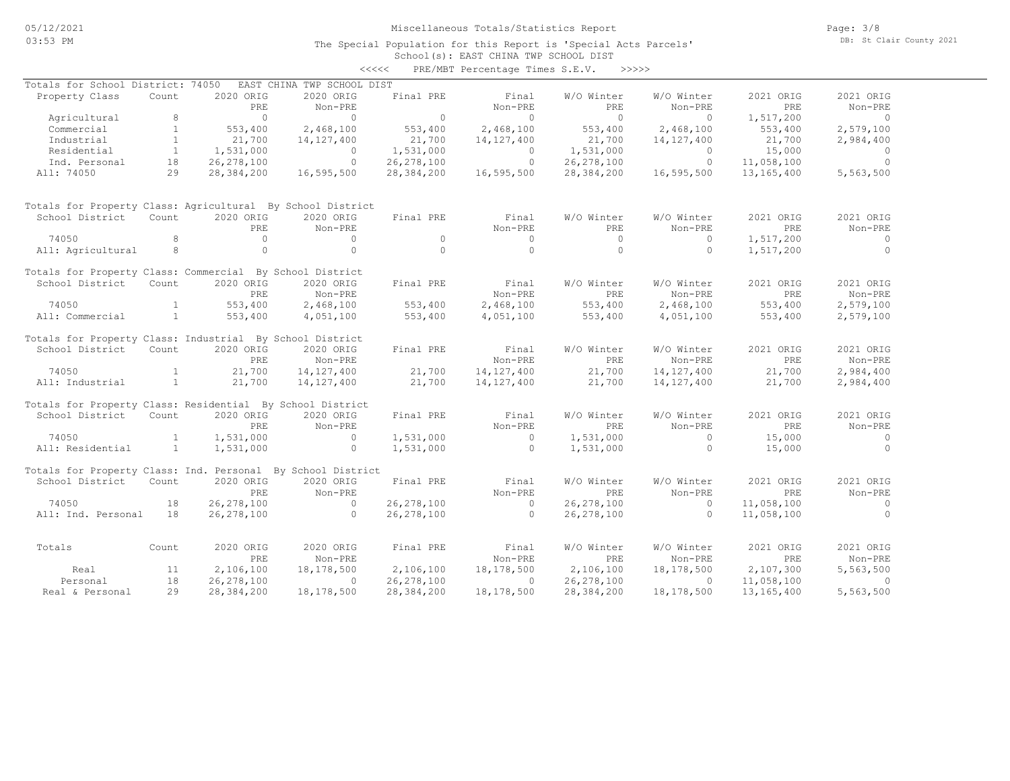### School(s): EAST CHINA TWP SCHOOL DIST The Special Population for this Report is 'Special Acts Parcels'

|                                                             |                |                  |                            | <<<<           | PRE/MBT Percentage Times S.E.V. | >>>>>                    |                       |                  |                      |
|-------------------------------------------------------------|----------------|------------------|----------------------------|----------------|---------------------------------|--------------------------|-----------------------|------------------|----------------------|
| Totals for School District: 74050                           |                |                  | EAST CHINA TWP SCHOOL DIST |                |                                 |                          |                       |                  |                      |
| Property Class                                              | Count          | 2020 ORIG<br>PRE | 2020 ORIG<br>Non-PRE       | Final PRE      | Final<br>Non-PRE                | W/O Winter<br><b>PRE</b> | W/O Winter<br>Non-PRE | 2021 ORIG<br>PRE | 2021 ORIG<br>Non-PRE |
| Agricultural                                                | 8              | $\bigcirc$       | $\Omega$                   | $\overline{0}$ | $\circ$                         | $\bigcirc$               | $\circ$               | 1,517,200        | $\overline{0}$       |
| Commercial                                                  | $\mathbf{1}$   | 553,400          | 2,468,100                  | 553,400        | 2,468,100                       | 553,400                  | 2,468,100             | 553,400          | 2,579,100            |
| Industrial                                                  | $\mathbf{1}$   | 21,700           | 14, 127, 400               | 21,700         | 14, 127, 400                    | 21,700                   | 14, 127, 400          | 21,700           | 2,984,400            |
| Residential                                                 | $\mathbf{1}$   | 1,531,000        | $\Omega$                   | 1,531,000      | $\circ$                         | 1,531,000                | $\circ$               | 15,000           | $\overline{0}$       |
| Ind. Personal                                               | 18             | 26, 278, 100     | $\circ$                    | 26, 278, 100   | $\circ$                         | 26, 278, 100             | $\circ$               | 11,058,100       | $\circ$              |
| All: 74050                                                  | 29             | 28,384,200       | 16,595,500                 | 28,384,200     | 16,595,500                      | 28,384,200               | 16,595,500            | 13,165,400       | 5,563,500            |
| Totals for Property Class: Agricultural By School District  |                |                  |                            |                |                                 |                          |                       |                  |                      |
| School District                                             | Count          | 2020 ORIG        | 2020 ORIG                  | Final PRE      | Final                           | W/O Winter               | W/O Winter            | 2021 ORIG        | 2021 ORIG            |
|                                                             |                | PRE              | Non-PRE                    |                | Non-PRE                         | PRE                      | Non-PRE               | PRE              | Non-PRE              |
| 74050                                                       | 8              | $\circ$          | $\Omega$                   | $\Omega$       | $\circ$                         | $\Omega$                 | $\circ$               | 1,517,200        | $\circ$              |
| All: Agricultural                                           | 8              | $\circ$          | $\Omega$                   | $\Omega$       | $\Omega$                        | $\circ$                  | $\circ$               | 1,517,200        | $\circ$              |
| Totals for Property Class: Commercial By School District    |                |                  |                            |                |                                 |                          |                       |                  |                      |
| School District                                             | Count          | 2020 ORIG        | 2020 ORIG                  | Final PRE      | Final                           | W/O Winter               | W/O Winter            | 2021 ORIG        | 2021 ORIG            |
|                                                             |                | PRE              | Non-PRE                    |                | Non-PRE                         | PRE.                     | Non-PRE               | PRE              | Non-PRE              |
| 74050                                                       | $\mathbf{1}$   | 553,400          | 2,468,100                  | 553,400        | 2,468,100                       | 553,400                  | 2,468,100             | 553,400          | 2,579,100            |
| All: Commercial                                             | $\mathbf{1}$   | 553,400          | 4,051,100                  | 553,400        | 4,051,100                       | 553,400                  | 4,051,100             | 553,400          | 2,579,100            |
| Totals for Property Class: Industrial By School District    |                |                  |                            |                |                                 |                          |                       |                  |                      |
| School District                                             | Count          | 2020 ORIG        | 2020 ORIG                  | Final PRE      | Final                           | W/O Winter               | W/O Winter            | 2021 ORIG        | 2021 ORIG            |
|                                                             |                | PRE              | Non-PRE                    |                | Non-PRE                         | PRE                      | Non-PRE               | <b>PRE</b>       | Non-PRE              |
| 74050                                                       | $\mathbf{1}$   | 21,700           | 14, 127, 400               | 21,700         | 14, 127, 400                    | 21,700                   | 14, 127, 400          | 21,700           | 2,984,400            |
| All: Industrial                                             | <sup>1</sup>   | 21,700           | 14, 127, 400               | 21,700         | 14,127,400                      | 21,700                   | 14, 127, 400          | 21,700           | 2,984,400            |
| Totals for Property Class: Residential By School District   |                |                  |                            |                |                                 |                          |                       |                  |                      |
| School District                                             | Count          | 2020 ORIG        | 2020 ORIG                  | Final PRE      | Final                           | W/O Winter               | W/O Winter            | 2021 ORIG        | 2021 ORIG            |
|                                                             |                | PRE              | Non-PRE                    |                | Non-PRE                         | <b>PRE</b>               | Non-PRE               | PRE              | Non-PRE              |
| 74050                                                       | $\mathbf{1}$   | 1,531,000        | $\circ$                    | 1,531,000      | $\circ$                         | 1,531,000                | $\circ$               | 15,000           | $\overline{0}$       |
| All: Residential                                            | $\overline{1}$ | 1,531,000        | $\circ$                    | 1,531,000      | $\circ$                         | 1,531,000                | $\circ$               | 15,000           | $\circ$              |
| Totals for Property Class: Ind. Personal By School District |                |                  |                            |                |                                 |                          |                       |                  |                      |
| School District                                             | Count          | 2020 ORIG        | 2020 ORIG                  | Final PRE      | Final                           | W/O Winter               | W/O Winter            | 2021 ORIG        | 2021 ORIG            |
|                                                             |                | PRE.             | Non-PRE                    |                | Non-PRE                         | PRE                      | Non-PRE               | <b>PRE</b>       | Non-PRE              |
| 74050                                                       | 18             | 26, 278, 100     | $\overline{0}$             | 26, 278, 100   | $\overline{0}$                  | 26, 278, 100             | $\circ$               | 11,058,100       | $\overline{0}$       |
| All: Ind. Personal                                          | 18             | 26, 278, 100     | $\Omega$                   | 26, 278, 100   | $\bigcirc$                      | 26, 278, 100             | $\Omega$              | 11,058,100       | $\Omega$             |
| Totals                                                      | Count          | 2020 ORIG        | 2020 ORIG                  | Final PRE      | Final                           | W/O Winter               | W/O Winter            | 2021 ORIG        | 2021 ORIG            |
|                                                             |                | PRE              | Non-PRE                    |                | Non-PRE                         | <b>PRE</b>               | Non-PRE               | PRE              | Non-PRE              |
| Real                                                        | 11             | 2,106,100        | 18,178,500                 | 2,106,100      | 18,178,500                      | 2,106,100                | 18,178,500            | 2,107,300        | 5,563,500            |
| Personal                                                    | 18             | 26, 278, 100     | $\Omega$                   | 26, 278, 100   | $\Omega$                        | 26, 278, 100             | 0                     | 11,058,100       | $\mathbf{0}$         |
| Real & Personal                                             | 29             | 28,384,200       | 18,178,500                 | 28,384,200     | 18,178,500                      | 28,384,200               | 18,178,500            | 13,165,400       | 5,563,500            |
|                                                             |                |                  |                            |                |                                 |                          |                       |                  |                      |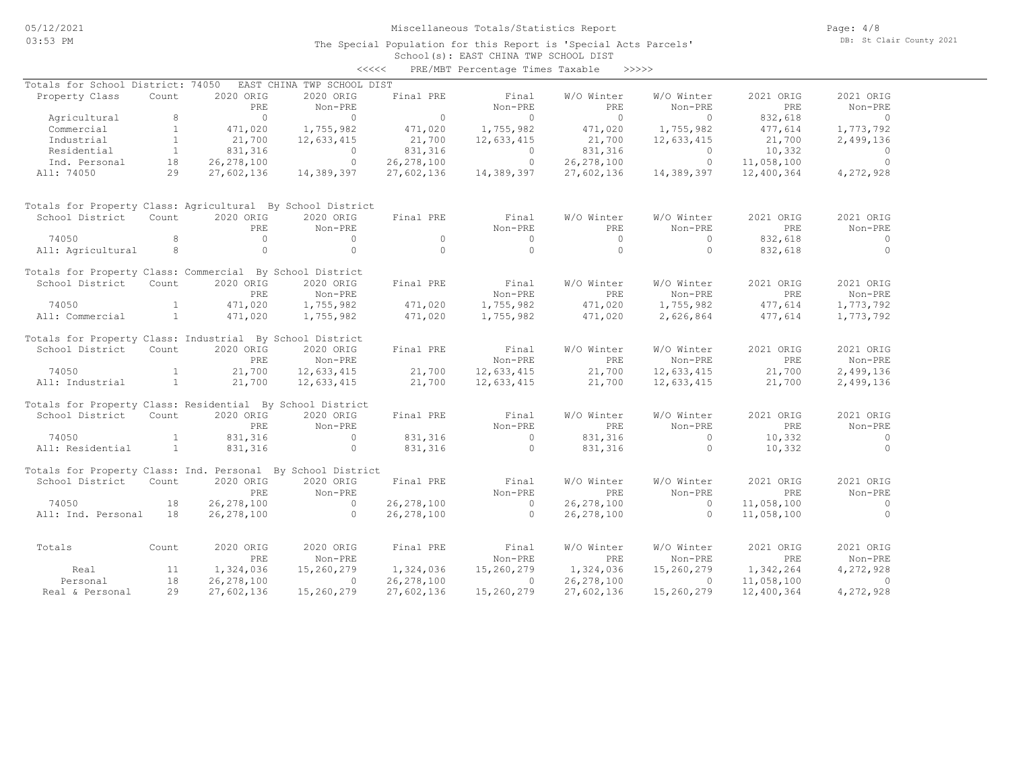### School(s): EAST CHINA TWP SCHOOL DIST The Special Population for this Report is 'Special Acts Parcels'

|                                                             |              |              |                            | <<<<         | PRE/MBT Percentage Times Taxable >>>>> |              |            |            |           |
|-------------------------------------------------------------|--------------|--------------|----------------------------|--------------|----------------------------------------|--------------|------------|------------|-----------|
| Totals for School District: 74050                           |              |              | EAST CHINA TWP SCHOOL DIST |              |                                        |              |            |            |           |
| Property Class                                              | Count        | 2020 ORIG    | 2020 ORIG                  | Final PRE    | Final                                  | W/O Winter   | W/O Winter | 2021 ORIG  | 2021 ORIG |
|                                                             |              | PRE          | Non-PRE                    |              | Non-PRE                                | PRE          | Non-PRE    | PRE        | Non-PRE   |
| Agricultural                                                | 8            | $\Omega$     | $\Omega$                   | $\circ$      | $\circ$                                | $\bigcirc$   | $\Omega$   | 832,618    | $\Omega$  |
| Commercial                                                  | $\mathbf{1}$ | 471,020      | 1,755,982                  | 471,020      | 1,755,982                              | 471,020      | 1,755,982  | 477,614    | 1,773,792 |
| Industrial                                                  | $\mathbf{1}$ | 21,700       | 12,633,415                 | 21,700       | 12,633,415                             | 21,700       | 12,633,415 | 21,700     | 2,499,136 |
| Residential                                                 | $\mathbf{1}$ | 831,316      | $\circ$                    | 831,316      | $\circ$                                | 831,316      | $\circ$    | 10,332     | $\circ$   |
| Ind. Personal                                               | 18           | 26, 278, 100 | $\circ$                    | 26, 278, 100 | $\circ$                                | 26, 278, 100 | $\circ$    | 11,058,100 | $\circ$   |
| All: 74050                                                  | 29           | 27,602,136   | 14,389,397                 | 27,602,136   | 14,389,397                             | 27,602,136   | 14,389,397 | 12,400,364 | 4,272,928 |
| Totals for Property Class: Agricultural By School District  |              |              |                            |              |                                        |              |            |            |           |
| School District                                             | Count        | 2020 ORIG    | 2020 ORIG                  | Final PRE    | Final                                  | W/O Winter   | W/O Winter | 2021 ORIG  | 2021 ORIG |
|                                                             |              | PRE          | Non-PRE                    |              | Non-PRE                                | PRE          | Non-PRE    | PRE        | Non-PRE   |
| 74050                                                       | 8            | $\Omega$     | $\circ$                    | $\Omega$     | $\Omega$                               | $\bigcirc$   | $\Omega$   | 832,618    | $\circ$   |
| All: Agricultural                                           | 8            | $\circ$      | $\circ$                    | $\Omega$     | $\circ$                                | $\Omega$     | $\circ$    | 832,618    | $\circ$   |
| Totals for Property Class: Commercial By School District    |              |              |                            |              |                                        |              |            |            |           |
| School District                                             | Count        | 2020 ORIG    | 2020 ORIG                  | Final PRE    | Final                                  | W/O Winter   | W/O Winter | 2021 ORIG  | 2021 ORIG |
|                                                             |              | PRE          | Non-PRE                    |              | Non-PRE                                | PRE          | Non-PRE    | <b>PRE</b> | Non-PRE   |
| 74050                                                       | $\mathbf{1}$ | 471,020      | 1,755,982                  | 471,020      | 1,755,982                              | 471,020      | 1,755,982  | 477,614    | 1,773,792 |
| All: Commercial                                             | $\mathbf{1}$ | 471,020      | 1,755,982                  | 471,020      | 1,755,982                              | 471,020      | 2,626,864  | 477,614    | 1,773,792 |
| Totals for Property Class: Industrial By School District    |              |              |                            |              |                                        |              |            |            |           |
| School District                                             | Count        | 2020 ORIG    | 2020 ORIG                  | Final PRE    | Final                                  | W/O Winter   | W/O Winter | 2021 ORIG  | 2021 ORIG |
|                                                             |              | PRE          | Non-PRE                    |              | Non-PRE                                | PRE          | Non-PRE    | PRE        | Non-PRE   |
| 74050                                                       | $\mathbf{1}$ | 21,700       | 12,633,415                 | 21,700       | 12,633,415                             | 21,700       | 12,633,415 | 21,700     | 2,499,136 |
| All: Industrial                                             | $\mathbf{1}$ | 21,700       | 12,633,415                 | 21,700       | 12,633,415                             | 21,700       | 12,633,415 | 21,700     | 2,499,136 |
| Totals for Property Class: Residential By School District   |              |              |                            |              |                                        |              |            |            |           |
| School District                                             | Count        | 2020 ORIG    | 2020 ORIG                  | Final PRE    | Final                                  | W/O Winter   | W/O Winter | 2021 ORIG  | 2021 ORIG |
|                                                             |              | PRE          | Non-PRE                    |              | Non-PRE                                | PRE          | Non-PRE    | <b>PRE</b> | Non-PRE   |
| 74050                                                       | $\mathbf{1}$ | 831,316      | $\circ$                    | 831,316      | $\circ$                                | 831,316      | $\circ$    | 10,332     | $\circ$   |
| All: Residential                                            | $\mathbf{1}$ | 831,316      | $\circ$                    | 831,316      | $\circ$                                | 831,316      | $\circ$    | 10,332     | $\circ$   |
| Totals for Property Class: Ind. Personal By School District |              |              |                            |              |                                        |              |            |            |           |
| School District                                             | Count        | 2020 ORIG    | 2020 ORIG                  | Final PRE    | Final                                  | W/O Winter   | W/O Winter | 2021 ORIG  | 2021 ORIG |
|                                                             |              | PRE.         | Non-PRE                    |              | Non-PRE                                | PRE          | Non-PRE    | <b>PRE</b> | Non-PRE   |
| 74050                                                       | 18           | 26, 278, 100 | $\circ$                    | 26, 278, 100 | $\overline{0}$                         | 26, 278, 100 | $\Omega$   | 11,058,100 | $\circ$   |
| All: Ind. Personal                                          | 18           | 26, 278, 100 | $\Omega$                   | 26, 278, 100 | $\Omega$                               | 26, 278, 100 | $\Omega$   | 11,058,100 | $\circ$   |
| Totals                                                      | Count        | 2020 ORIG    | 2020 ORIG                  | Final PRE    | Final                                  | W/O Winter   | W/O Winter | 2021 ORIG  | 2021 ORIG |
|                                                             |              | PRE          | Non-PRE                    |              | Non-PRE                                | PRE          | Non-PRE    | PRE        | Non-PRE   |
| Real                                                        | 11           | 1,324,036    | 15,260,279                 | 1,324,036    | 15,260,279                             | 1,324,036    | 15,260,279 | 1,342,264  | 4,272,928 |
| Personal                                                    | 18           | 26, 278, 100 | $\circ$                    | 26, 278, 100 | $\circ$                                | 26, 278, 100 | $\Omega$   | 11,058,100 | $\circ$   |
| Real & Personal                                             | 29           | 27,602,136   | 15,260,279                 | 27,602,136   | 15,260,279                             | 27,602,136   | 15,260,279 | 12,400,364 | 4,272,928 |
|                                                             |              |              |                            |              |                                        |              |            |            |           |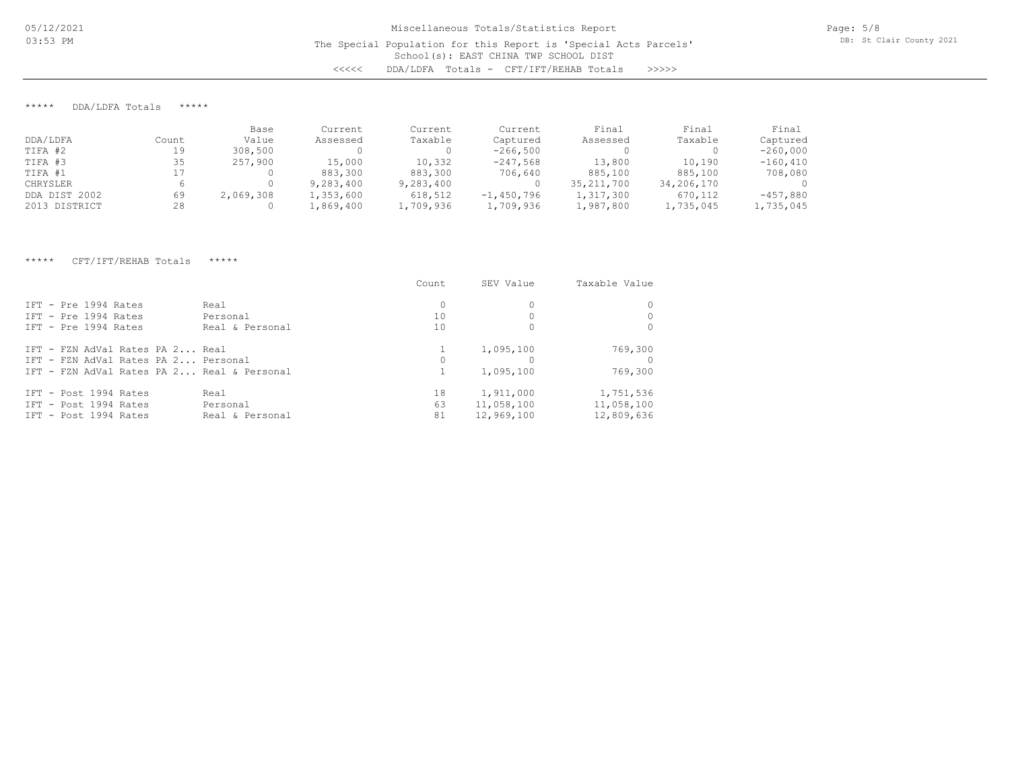## \*\*\*\*\* DDA/LDFA Totals \*\*\*\*\*

|               |       | Base      | Current   | Current   | Current      | Final        | Final      | Final       |
|---------------|-------|-----------|-----------|-----------|--------------|--------------|------------|-------------|
| DDA/LDFA      | Count | Value     | Assessed  | Taxable   | Captured     | Assessed     | Taxable    | Captured    |
| TIFA #2       | 19    | 308,500   |           |           | $-266,500$   |              |            | $-260,000$  |
| TIFA #3       | 35    | 257,900   | 15,000    | 10,332    | $-247,568$   | 13,800       | 10,190     | $-160, 410$ |
| TIFA #1       |       |           | 883,300   | 883,300   | 706,640      | 885,100      | 885,100    | 708,080     |
| CHRYSLER      |       |           | 9,283,400 | 9,283,400 |              | 35, 211, 700 | 34,206,170 |             |
| DDA DIST 2002 | 69    | 2,069,308 | 1,353,600 | 618,512   | $-1,450,796$ | 1,317,300    | 670,112    | $-457,880$  |
| 2013 DISTRICT | 28    |           | 1,869,400 | 1,709,936 | 1,709,936    | 1,987,800    | 1,735,045  | 1,735,045   |

### \*\*\*\*\* CFT/IFT/REHAB Totals \*\*\*\*\*

|                                                                                                                      | Count          | SEV Value                             | Taxable Value                         |
|----------------------------------------------------------------------------------------------------------------------|----------------|---------------------------------------|---------------------------------------|
| TFT - Pre 1994 Rates<br>Real<br>IFT - Pre 1994 Rates<br>Personal                                                     | $\Omega$<br>10 |                                       |                                       |
| TFT - Pre 1994 Rates<br>Real & Personal                                                                              | 10             |                                       |                                       |
| IFT - FZN AdVal Rates PA 2 Real<br>IFT - FZN AdVal Rates PA 2 Personal<br>IFT - FZN AdVal Rates PA 2 Real & Personal | $\Omega$       | 1,095,100<br>1,095,100                | 769,300<br>769,300                    |
| IFT - Post 1994 Rates<br>Real<br>TFT - Post 1994 Rates<br>Personal<br>IFT - Post 1994 Rates<br>Real & Personal       | 18<br>63<br>81 | 1,911,000<br>11,058,100<br>12,969,100 | 1,751,536<br>11,058,100<br>12,809,636 |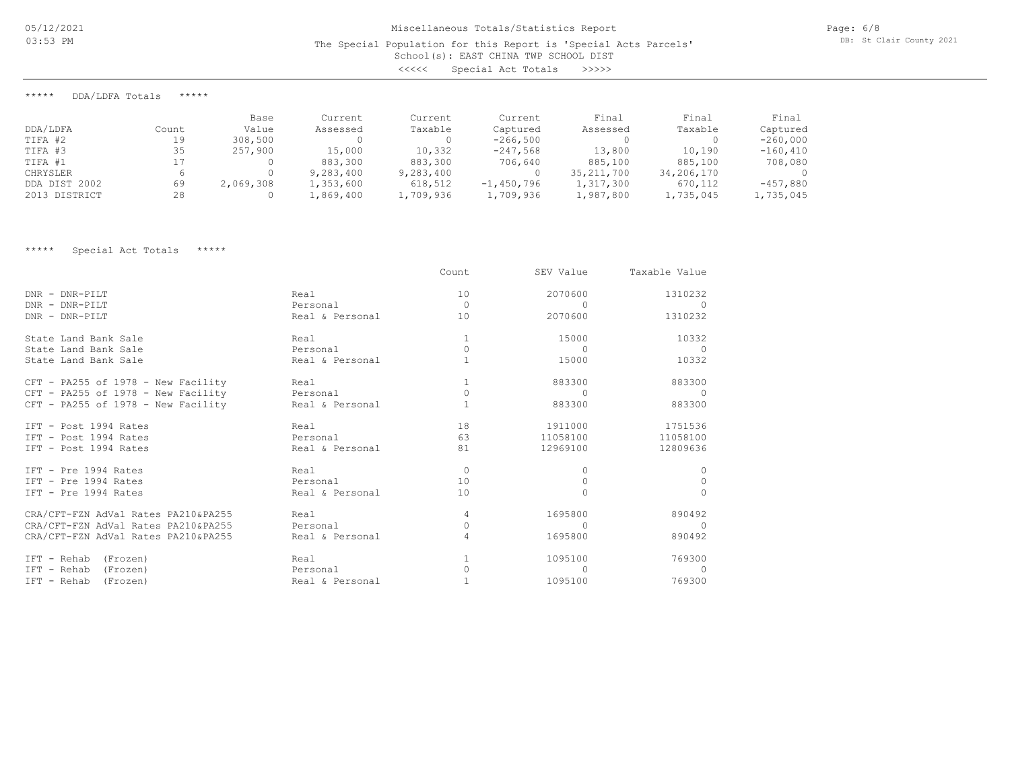# School(s): EAST CHINA TWP SCHOOL DIST Miscellaneous Totals/Statistics Report The Special Population for this Report is 'Special Acts Parcels' <<<<< Special Act Totals >>>>>

Page: 6/8 DB: St Clair County 2021

\*\*\*\*\* DDA/LDFA Totals \*\*\*\*\*

|               |       | Base      | Current   | Current   | Current      | Final        | Final      | Final       |
|---------------|-------|-----------|-----------|-----------|--------------|--------------|------------|-------------|
| DDA/LDFA      | Count | Value     | Assessed  | Taxable   | Captured     | Assessed     | Taxable    | Captured    |
| TIFA #2       | 19    | 308,500   |           |           | $-266,500$   |              |            | $-260,000$  |
| TIFA #3       | 35    | 257,900   | 15,000    | 10,332    | $-247,568$   | 13,800       | 10,190     | $-160, 410$ |
| TIFA #1       |       |           | 883,300   | 883,300   | 706,640      | 885,100      | 885,100    | 708,080     |
| CHRYSLER      |       |           | 9,283,400 | 9,283,400 |              | 35, 211, 700 | 34,206,170 |             |
| DDA DIST 2002 | 69    | 2,069,308 | 1,353,600 | 618,512   | $-1,450,796$ | 1,317,300    | 670,112    | $-457,880$  |
| 2013 DISTRICT | 28    |           | 1,869,400 | 1,709,936 | 1,709,936    | 1,987,800    | 1,735,045  | 1,735,045   |

\*\*\*\*\* Special Act Totals \*\*\*\*\*

|                                     |                 | Count    | SEV Value | Taxable Value |
|-------------------------------------|-----------------|----------|-----------|---------------|
| DNR - DNR-PILT                      | Real            | 10       | 2070600   | 1310232       |
| DNR - DNR-PILT                      | Personal        | $\Omega$ | $\Omega$  |               |
| DNR - DNR-PILT                      | Real & Personal | 10       | 2070600   | 1310232       |
| State Land Bank Sale                | Real            |          | 15000     | 10332         |
| State Land Bank Sale                | Personal        | $\Omega$ | $\Omega$  |               |
| State Land Bank Sale                | Real & Personal |          | 15000     | 10332         |
| CFT - PA255 of 1978 - New Facility  | Real            |          | 883300    | 883300        |
| CFT - PA255 of 1978 - New Facility  | Personal        |          | $\cap$    |               |
| CFT - PA255 of 1978 - New Facility  | Real & Personal |          | 883300    | 883300        |
| IFT - Post 1994 Rates               | Real            | 18       | 1911000   | 1751536       |
| IFT - Post 1994 Rates               | Personal        | 63       | 11058100  | 11058100      |
| IFT - Post 1994 Rates               | Real & Personal | 81       | 12969100  | 12809636      |
| IFT - Pre 1994 Rates                | Real            | $\Omega$ | 0         | $\cup$        |
| IFT - Pre 1994 Rates                | Personal        | 10       |           | $\cup$        |
| IFT - Pre 1994 Rates                | Real & Personal | 10       |           | $\Omega$      |
| CRA/CFT-FZN AdVal Rates PA210&PA255 | Real            | 4        | 1695800   | 890492        |
| CRA/CFT-FZN AdVal Rates PA210&PA255 | Personal        | 0        |           | $\bigcap$     |
| CRA/CFT-FZN AdVal Rates PA210&PA255 | Real & Personal | 4        | 1695800   | 890492        |
| IFT - Rehab<br>(Frozen)             | Real            |          | 1095100   | 769300        |
| IFT - Rehab<br>(Frozen)             | Personal        | 0        |           | $\cap$        |
| IFT - Rehab<br>(Frozen)             | Real & Personal |          | 1095100   | 769300        |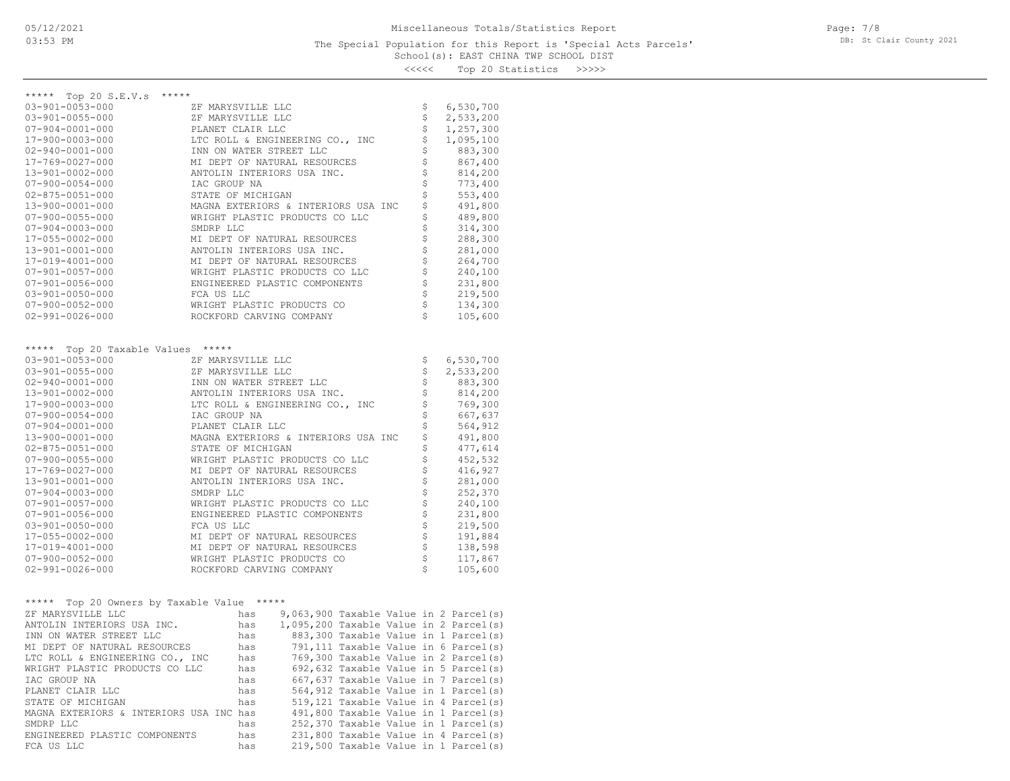<<<<< Top 20 Statistics >>>>>

| ***** Top 20 S.E.V.s<br>*****                   |                                                                       |                                |                    |
|-------------------------------------------------|-----------------------------------------------------------------------|--------------------------------|--------------------|
| 03-901-0053-000                                 | ZF MARYSVILLE LLC                                                     | \$                             | 6,530,700          |
| $03 - 901 - 0055 - 000$                         | ZF MARYSVILLE LLC                                                     | \$                             | 2,533,200          |
| $07 - 904 - 0001 - 000$                         | PLANET CLAIR LLC                                                      | \$                             | 1,257,300          |
| 17-900-0003-000                                 | LTC ROLL & ENGINEERING CO., INC                                       | \$<br>\$                       | 1,095,100          |
| $02 - 940 - 0001 - 000$                         | INN ON WATER STREET LLC                                               |                                | 883,300            |
| 17-769-0027-000                                 | MI DEPT OF NATURAL RESOURCES                                          | \$<br>\$                       | 867,400            |
| 13-901-0002-000                                 | ANTOLIN INTERIORS USA INC.                                            | \$                             | 814,200            |
| $07 - 900 - 0054 - 000$                         | IAC GROUP NA                                                          | \$                             | 773,400            |
| $02 - 875 - 0051 - 000$                         | STATE OF MICHIGAN                                                     | \$                             | 553,400            |
| 13-900-0001-000                                 | MAGNA EXTERIORS & INTERIORS USA INC<br>WRIGHT PLASTIC PRODUCTS CO LLC | \$                             | 491,800            |
| $07 - 900 - 0055 - 000$                         | SMDRP LLC                                                             | \$                             | 489,800            |
| $07 - 904 - 0003 - 000$<br>17-055-0002-000      | MI DEPT OF NATURAL RESOURCES                                          | \$                             | 314,300<br>288,300 |
| 13-901-0001-000                                 | ANTOLIN INTERIORS USA INC.                                            | \$                             | 281,000            |
| 17-019-4001-000                                 | MI DEPT OF NATURAL RESOURCES                                          | \$                             | 264,700            |
| $07 - 901 - 0057 - 000$                         | WRIGHT PLASTIC PRODUCTS CO LLC                                        | $\boldsymbol{\dot{\varsigma}}$ | 240,100            |
| $07 - 901 - 0056 - 000$                         | ENGINEERED PLASTIC COMPONENTS                                         | \$                             | 231,800            |
| $03 - 901 - 0050 - 000$                         | FCA US LLC                                                            | \$                             | 219,500            |
| $07 - 900 - 0052 - 000$                         | WRIGHT PLASTIC PRODUCTS CO                                            | \$                             | 134,300            |
| $02 - 991 - 0026 - 000$                         | ROCKFORD CARVING COMPANY                                              | \$                             | 105,600            |
|                                                 |                                                                       |                                |                    |
|                                                 |                                                                       |                                |                    |
| Top 20 Taxable Values *****<br>*****            |                                                                       |                                |                    |
| $03 - 901 - 0053 - 000$                         | ZF MARYSVILLE LLC                                                     | \$                             | 6,530,700          |
| $03 - 901 - 0055 - 000$                         | ZF MARYSVILLE LLC                                                     | \$                             | 2,533,200          |
| $02 - 940 - 0001 - 000$                         | INN ON WATER STREET LLC                                               | \$                             | 883,300            |
| 13-901-0002-000                                 | ANTOLIN INTERIORS USA INC.                                            | \$                             | 814,200            |
| 17-900-0003-000                                 | LTC ROLL & ENGINEERING CO., INC                                       | \$                             | 769,300            |
| $07 - 900 - 0054 - 000$                         | IAC GROUP NA                                                          | \$                             | 667,637            |
| $07 - 904 - 0001 - 000$                         | PLANET CLAIR LLC                                                      | \$                             | 564,912            |
| 13-900-0001-000                                 | MAGNA EXTERIORS & INTERIORS USA INC                                   | \$                             | 491,800            |
| $02 - 875 - 0051 - 000$                         | STATE OF MICHIGAN                                                     | \$                             | 477,614            |
| $07 - 900 - 0055 - 000$                         | WRIGHT PLASTIC PRODUCTS CO LLC                                        | \$                             | 452,532            |
| 17-769-0027-000                                 | MI DEPT OF NATURAL RESOURCES                                          | \$                             | 416,927            |
| 13-901-0001-000                                 | ANTOLIN INTERIORS USA INC.                                            | \$                             | 281,000            |
| $07 - 904 - 0003 - 000$                         | SMDRP LLC                                                             | \$                             | 252,370            |
| $07 - 901 - 0057 - 000$                         | WRIGHT PLASTIC PRODUCTS CO LLC                                        | \$                             | 240,100            |
| $07 - 901 - 0056 - 000$                         | ENGINEERED PLASTIC COMPONENTS                                         | \$                             | 231,800            |
| $03 - 901 - 0050 - 000$                         | FCA US LLC                                                            | \$                             | 219,500            |
| 17-055-0002-000                                 | MI DEPT OF NATURAL RESOURCES                                          | \$                             | 191,884            |
| 17-019-4001-000                                 | MI DEPT OF NATURAL RESOURCES                                          | \$                             | 138,598            |
| $07 - 900 - 0052 - 000$                         | WRIGHT PLASTIC PRODUCTS CO                                            | \$                             | 117,867            |
| $02 - 991 - 0026 - 000$                         | ROCKFORD CARVING COMPANY                                              | Ś                              | 105,600            |
|                                                 |                                                                       |                                |                    |
| $***$ * * * *                                   |                                                                       |                                |                    |
| Top 20 Owners by Taxable Value *****            | 9,063,900 Taxable Value in 2 Parcel(s)<br>has                         |                                |                    |
| ZF MARYSVILLE LLC<br>ANTOLIN INTERIORS USA INC. | 1,095,200 Taxable Value in 2 Parcel(s)<br>has                         |                                |                    |
| INN ON WATER STREET LLC                         | 883,300 Taxable Value in 1 Parcel(s)<br>has                           |                                |                    |
| MI DEPT OF NATURAL RESOURCES                    | 791,111 Taxable Value in 6 Parcel(s)<br>has                           |                                |                    |
| LTC ROLL & ENGINEERING CO., INC                 | 769,300 Taxable Value in 2 Parcel(s)<br>has                           |                                |                    |
| WRIGHT PLASTIC PRODUCTS CO LLC                  | 692,632 Taxable Value in 5 Parcel(s)<br>has                           |                                |                    |
| IAC GROUP NA                                    | 667,637 Taxable Value in 7 Parcel(s)<br>has                           |                                |                    |
| PLANET CLAIR LLC                                | 564,912 Taxable Value in 1 Parcel(s)<br>has                           |                                |                    |
| STATE OF MICHIGAN                               | 519,121 Taxable Value in 4 Parcel(s)<br>has                           |                                |                    |

FCA US LLC has 219,500 Taxable Value in 1 Parcel(s) ENGINEERED PLASTIC COMPONENTS has 231,800 Taxable Value in 4 Parcel(s) SMDRP LLC **has** 252,370 Taxable Value in 1 Parcel(s) MAGNA EXTERIORS & INTERIORS USA INC has 491,800 Taxable Value in 1 Parcel(s)